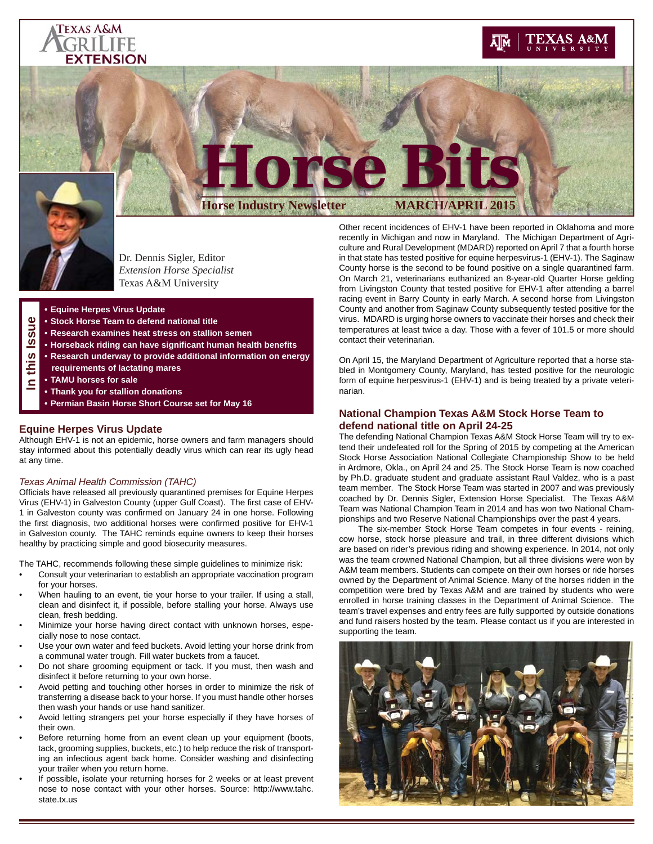### **TEXAS A&M** FRILIFE **EXTENSION**

## EXAS A&M



**In this Issue**

 $\bullet$ 50  $\omega$ ဖာ Ξ  $\blacksquare$ 

# **Horse Bits Horse Industry Newsletter MARCH/APRIL 2015**

Dr. Dennis Sigler, Editor *Extension Horse Specialist* Texas A&M University

- **Equine Herpes Virus Update**
- **Stock Horse Team to defend national title**
- **Research examines heat stress on stallion semen**
- **Horseback riding can have signifi cant human health benefi ts**
- **Research underway to provide additional information on energy**
- **requirements of lactating mares**
- **TAMU horses for sale**
- **Thank you for stallion donations**
- **Permian Basin Horse Short Course set for May 16**

#### **Equine Herpes Virus Update**

Although EHV-1 is not an epidemic, horse owners and farm managers should stay informed about this potentially deadly virus which can rear its ugly head at any time.

#### *Texas Animal Health Commission (TAHC)*

Officials have released all previously quarantined premises for Equine Herpes Virus (EHV-1) in Galveston County (upper Gulf Coast). The first case of EHV-1 in Galveston county was confirmed on January 24 in one horse. Following the first diagnosis, two additional horses were confirmed positive for EHV-1 in Galveston county. The TAHC reminds equine owners to keep their horses healthy by practicing simple and good biosecurity measures.

The TAHC, recommends following these simple guidelines to minimize risk:

- Consult your veterinarian to establish an appropriate vaccination program for your horses.
- When hauling to an event, tie your horse to your trailer. If using a stall, clean and disinfect it, if possible, before stalling your horse. Always use clean, fresh bedding.
- Minimize your horse having direct contact with unknown horses, especially nose to nose contact.
- Use your own water and feed buckets. Avoid letting your horse drink from a communal water trough. Fill water buckets from a faucet.
- Do not share grooming equipment or tack. If you must, then wash and disinfect it before returning to your own horse.
- Avoid petting and touching other horses in order to minimize the risk of transferring a disease back to your horse. If you must handle other horses then wash your hands or use hand sanitizer.
- Avoid letting strangers pet your horse especially if they have horses of their own.
- Before returning home from an event clean up your equipment (boots, tack, grooming supplies, buckets, etc.) to help reduce the risk of transporting an infectious agent back home. Consider washing and disinfecting your trailer when you return home.
- If possible, isolate your returning horses for 2 weeks or at least prevent nose to nose contact with your other horses. Source: http://www.tahc. state.tx.us

Other recent incidences of EHV-1 have been reported in Oklahoma and more recently in Michigan and now in Maryland. The Michigan Department of Agriculture and Rural Development (MDARD) reported on April 7 that a fourth horse in that state has tested positive for equine herpesvirus-1 (EHV-1). The Saginaw County horse is the second to be found positive on a single quarantined farm. On March 21, veterinarians euthanized an 8-year-old Quarter Horse gelding from Livingston County that tested positive for EHV-1 after attending a barrel racing event in Barry County in early March. A second horse from Livingston County and another from Saginaw County subsequently tested positive for the virus. MDARD is urging horse owners to vaccinate their horses and check their temperatures at least twice a day. Those with a fever of 101.5 or more should contact their veterinarian.

On April 15, the Maryland Department of Agriculture reported that a horse stabled in Montgomery County, Maryland, has tested positive for the neurologic form of equine herpesvirus-1 (EHV-1) and is being treated by a private veterinarian.

#### **National Champion Texas A&M Stock Horse Team to defend national title on April 24-25**

The defending National Champion Texas A&M Stock Horse Team will try to extend their undefeated roll for the Spring of 2015 by competing at the American Stock Horse Association National Collegiate Championship Show to be held in Ardmore, Okla., on April 24 and 25. The Stock Horse Team is now coached by Ph.D. graduate student and graduate assistant Raul Valdez, who is a past team member. The Stock Horse Team was started in 2007 and was previously coached by Dr. Dennis Sigler, Extension Horse Specialist. The Texas A&M Team was National Champion Team in 2014 and has won two National Championships and two Reserve National Championships over the past 4 years.

 The six-member Stock Horse Team competes in four events - reining, cow horse, stock horse pleasure and trail, in three different divisions which are based on rider's previous riding and showing experience. In 2014, not only was the team crowned National Champion, but all three divisions were won by A&M team members. Students can compete on their own horses or ride horses owned by the Department of Animal Science. Many of the horses ridden in the competition were bred by Texas A&M and are trained by students who were enrolled in horse training classes in the Department of Animal Science. The team's travel expenses and entry fees are fully supported by outside donations and fund raisers hosted by the team. Please contact us if you are interested in supporting the team.